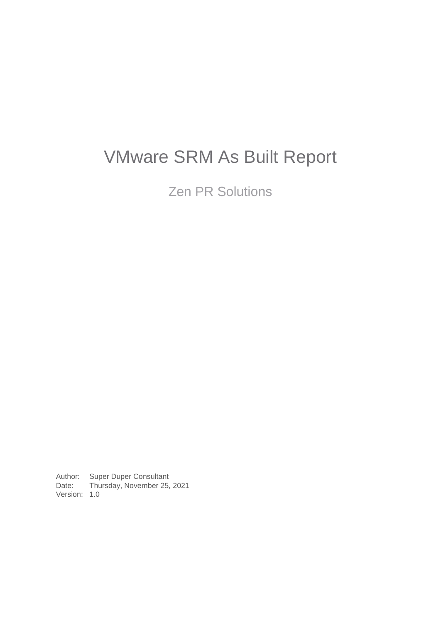# VMware SRM As Built Report

Zen PR Solutions

Author: Super Duper Consultant<br>Date: Thursday, November 25, Thursday, November 25, 2021 Version: 1.0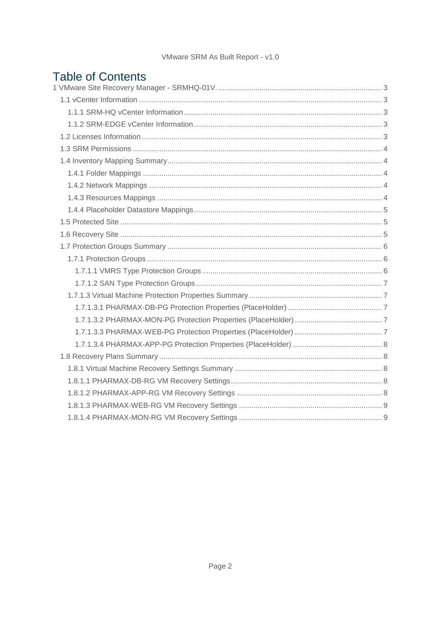| <b>Table of Contents</b> |  |
|--------------------------|--|
|                          |  |
|                          |  |
|                          |  |
|                          |  |
|                          |  |
|                          |  |
|                          |  |
|                          |  |
|                          |  |
|                          |  |
|                          |  |
|                          |  |
|                          |  |
|                          |  |
|                          |  |
|                          |  |
|                          |  |
|                          |  |
|                          |  |
|                          |  |
|                          |  |
|                          |  |
|                          |  |
|                          |  |
|                          |  |
|                          |  |
|                          |  |
|                          |  |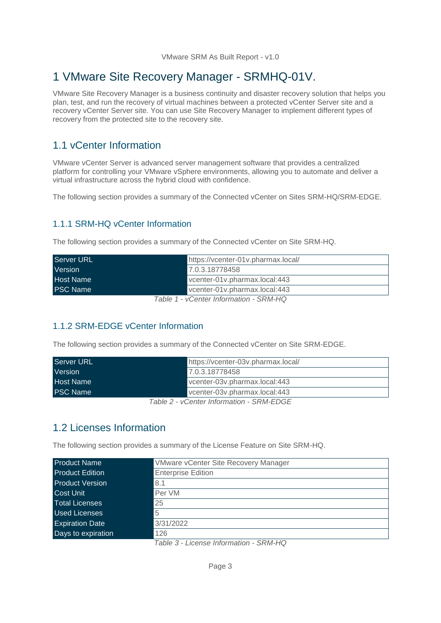# <span id="page-2-0"></span>1 VMware Site Recovery Manager - SRMHQ-01V.

VMware Site Recovery Manager is a business continuity and disaster recovery solution that helps you plan, test, and run the recovery of virtual machines between a protected vCenter Server site and a recovery vCenter Server site. You can use Site Recovery Manager to implement different types of recovery from the protected site to the recovery site.

## <span id="page-2-1"></span>1.1 vCenter Information

VMware vCenter Server is advanced server management software that provides a centralized platform for controlling your VMware vSphere environments, allowing you to automate and deliver a virtual infrastructure across the hybrid cloud with confidence.

The following section provides a summary of the Connected vCenter on Sites SRM-HQ/SRM-EDGE.

#### <span id="page-2-2"></span>1.1.1 SRM-HQ vCenter Information

The following section provides a summary of the Connected vCenter on Site SRM-HQ.

| <b>Server URL</b> | https://vcenter-01v.pharmax.local/   |
|-------------------|--------------------------------------|
| <b>Version</b>    | 7.0.3.18778458                       |
| <b>Host Name</b>  | vcenter-01v.pharmax.local:443        |
| <b>PSC Name</b>   | vcenter-01v.pharmax.local:443        |
|                   | $Table 4$ Canter Information CDM LIO |

*Table 1 - vCenter Information - SRM-HQ*

#### <span id="page-2-3"></span>1.1.2 SRM-EDGE vCenter Information

The following section provides a summary of the Connected vCenter on Site SRM-EDGE.

| <b>Server URL</b>                                         | https://vcenter-03v.pharmax.local/ |
|-----------------------------------------------------------|------------------------------------|
| Version                                                   | 7.0.3.18778458                     |
| <b>Host Name</b>                                          | vcenter-03v.pharmax.local:443      |
| <b>PSC Name</b>                                           | vcenter-03v.pharmax.local:443      |
| $T_2$ ble $\Omega$ , $\Omega$ enter lufermetien, CDM EDOE |                                    |

*Table 2 - vCenter Information - SRM-EDGE*

### <span id="page-2-4"></span>1.2 Licenses Information

The following section provides a summary of the License Feature on Site SRM-HQ.

| <b>VMware vCenter Site Recovery Manager</b> |
|---------------------------------------------|
| <b>Enterprise Edition</b>                   |
| 8.1                                         |
| Per VM                                      |
| 25                                          |
| 5                                           |
| 3/31/2022                                   |
| 126                                         |
|                                             |

*Table 3 - License Information - SRM-HQ*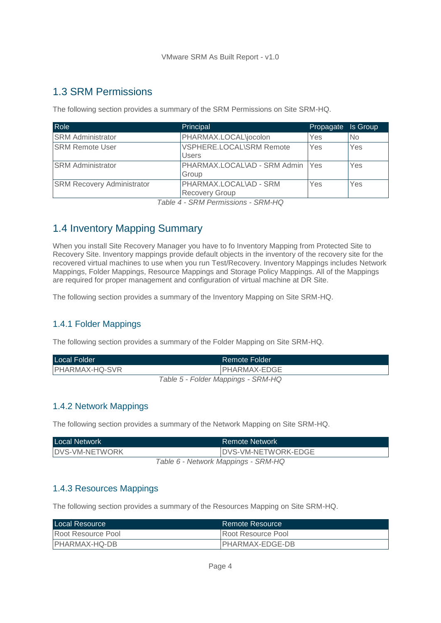# <span id="page-3-0"></span>1.3 SRM Permissions

The following section provides a summary of the SRM Permissions on Site SRM-HQ.

| Role                              | Principal                                | Propagate | Is Group  |
|-----------------------------------|------------------------------------------|-----------|-----------|
| <b>SRM Administrator</b>          | PHARMAX.LOCAL\jocolon                    | Yes       | <b>No</b> |
| <b>SRM Remote User</b>            | <b>VSPHERE.LOCAL\SRM Remote</b><br>Users | Yes       | Yes       |
| <b>SRM Administrator</b>          | PHARMAX.LOCAL\AD - SRM Admin   Yes       |           | Yes       |
|                                   | Group                                    |           |           |
| <b>SRM Recovery Administrator</b> | PHARMAX.LOCAL\AD - SRM                   | Yes       | Yes       |
|                                   | <b>Recovery Group</b>                    |           |           |

*Table 4 - SRM Permissions - SRM-HQ*

# <span id="page-3-1"></span>1.4 Inventory Mapping Summary

When you install Site Recovery Manager you have to fo Inventory Mapping from Protected Site to Recovery Site. Inventory mappings provide default objects in the inventory of the recovery site for the recovered virtual machines to use when you run Test/Recovery. Inventory Mappings includes Network Mappings, Folder Mappings, Resource Mappings and Storage Policy Mappings. All of the Mappings are required for proper management and configuration of virtual machine at DR Site.

The following section provides a summary of the Inventory Mapping on Site SRM-HQ.

#### <span id="page-3-2"></span>1.4.1 Folder Mappings

The following section provides a summary of the Folder Mapping on Site SRM-HQ.

| Local Folder                       | Remote Folder |
|------------------------------------|---------------|
| <b>PHARMAX-HQ-SVR</b>              | PHARMAX-EDGE  |
| Table 5 - Folder Mappings - SRM-HQ |               |

#### <span id="page-3-3"></span>1.4.2 Network Mappings

The following section provides a summary of the Network Mapping on Site SRM-HQ.

| <b>Local Network</b>                | Remote Network      |
|-------------------------------------|---------------------|
| DVS-VM-NETWORK                      | DVS-VM-NETWORK-EDGE |
| Table 6 - Network Mappings - SRM-HQ |                     |

#### <span id="page-3-4"></span>1.4.3 Resources Mappings

The following section provides a summary of the Resources Mapping on Site SRM-HQ.

| Local Resource     | Remote Resource           |
|--------------------|---------------------------|
| Root Resource Pool | <b>Root Resource Pool</b> |
| IPHARMAX-HQ-DB     | IPHARMAX-EDGE-DB          |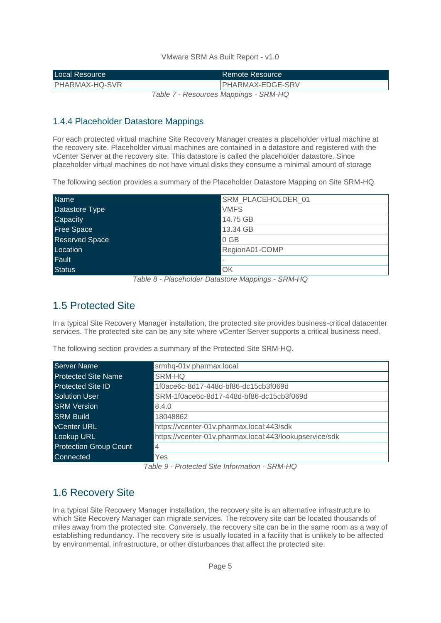| <b>Local Resource</b> | Remote Resource                                                                                                                                                                                                                                                                                |
|-----------------------|------------------------------------------------------------------------------------------------------------------------------------------------------------------------------------------------------------------------------------------------------------------------------------------------|
| <b>PHARMAX-HQ-SVR</b> | <b>PHARMAX-EDGE-SRV</b>                                                                                                                                                                                                                                                                        |
|                       | $\tau$ ,, $\tau$ , $\tau$ , $\tau$ , $\tau$ , $\tau$ , $\tau$ , $\tau$ , $\tau$ , $\tau$ , $\tau$ , $\tau$ , $\tau$ , $\tau$ , $\tau$ , $\tau$ , $\tau$ , $\tau$ , $\tau$ , $\tau$ , $\tau$ , $\tau$ , $\tau$ , $\tau$ , $\tau$ , $\tau$ , $\tau$ , $\tau$ , $\tau$ , $\tau$ , $\tau$ , $\tau$ |

*Table 7 - Resources Mappings - SRM-HQ*

#### <span id="page-4-0"></span>1.4.4 Placeholder Datastore Mappings

For each protected virtual machine Site Recovery Manager creates a placeholder virtual machine at the recovery site. Placeholder virtual machines are contained in a datastore and registered with the vCenter Server at the recovery site. This datastore is called the placeholder datastore. Since placeholder virtual machines do not have virtual disks they consume a minimal amount of storage

The following section provides a summary of the Placeholder Datastore Mapping on Site SRM-HQ.

| <b>Name</b>                                                   | SRM_PLACEHOLDER_01                |
|---------------------------------------------------------------|-----------------------------------|
| Datastore Type                                                | <b>VMFS</b>                       |
| Capacity                                                      | 14.75 GB                          |
| <b>Free Space</b>                                             | 13.34 GB                          |
| <b>Reserved Space</b>                                         | 0 GB                              |
| Location                                                      | RegionA01-COMP                    |
| Fault                                                         |                                   |
| <b>Status</b><br>_ _ _<br>and the contract of the contract of | OK<br>$ -$<br>$- - - - - - - - -$ |

*Table 8 - Placeholder Datastore Mappings - SRM-HQ*

# <span id="page-4-1"></span>1.5 Protected Site

In a typical Site Recovery Manager installation, the protected site provides business-critical datacenter services. The protected site can be any site where vCenter Server supports a critical business need.

The following section provides a summary of the Protected Site SRM-HQ.

| <b>Server Name</b>            | srmhq-01v.pharmax.local                                 |
|-------------------------------|---------------------------------------------------------|
| <b>Protected Site Name</b>    | SRM-HQ                                                  |
| <b>Protected Site ID</b>      | 1f0ace6c-8d17-448d-bf86-dc15cb3f069d                    |
| Solution User                 | SRM-1f0ace6c-8d17-448d-bf86-dc15cb3f069d                |
| <b>SRM Version</b>            | 8.4.0                                                   |
| <b>SRM Build</b>              | 18048862                                                |
| <b>VCenter URL</b>            | https://vcenter-01v.pharmax.local:443/sdk               |
| <b>Lookup URL</b>             | https://vcenter-01v.pharmax.local:443/lookupservice/sdk |
| <b>Protection Group Count</b> | $\overline{4}$                                          |
| Connected                     | Yes                                                     |

*Table 9 - Protected Site Information - SRM-HQ*

# <span id="page-4-2"></span>1.6 Recovery Site

In a typical Site Recovery Manager installation, the recovery site is an alternative infrastructure to which Site Recovery Manager can migrate services. The recovery site can be located thousands of miles away from the protected site. Conversely, the recovery site can be in the same room as a way of establishing redundancy. The recovery site is usually located in a facility that is unlikely to be affected by environmental, infrastructure, or other disturbances that affect the protected site.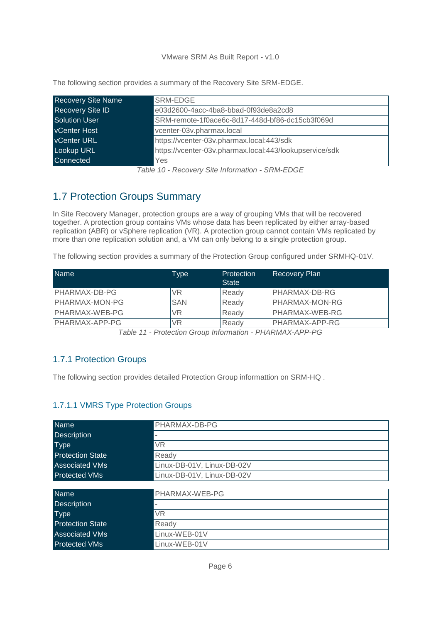| <b>Recovery Site Name</b> | SRM-EDGE                                                |
|---------------------------|---------------------------------------------------------|
| Recovery Site ID          | e03d2600-4acc-4ba8-bbad-0f93de8a2cd8                    |
| <b>Solution User</b>      | SRM-remote-1f0ace6c-8d17-448d-bf86-dc15cb3f069d         |
| <b>VCenter Host</b>       | vcenter-03v.pharmax.local                               |
| <b>vCenter URL</b>        | https://vcenter-03v.pharmax.local:443/sdk               |
| <b>Lookup URL</b>         | https://vcenter-03v.pharmax.local:443/lookupservice/sdk |
| Connected                 | Yes                                                     |

The following section provides a summary of the Recovery Site SRM-EDGE.

# <span id="page-5-0"></span>1.7 Protection Groups Summary

In Site Recovery Manager, protection groups are a way of grouping VMs that will be recovered together. A protection group contains VMs whose data has been replicated by either array-based replication (ABR) or vSphere replication (VR). A protection group cannot contain VMs replicated by more than one replication solution and, a VM can only belong to a single protection group.

The following section provides a summary of the Protection Group configured under SRMHQ-01V.

| <b>Name</b>    | Type       | Protection<br><b>State</b> | Recovery Plan         |
|----------------|------------|----------------------------|-----------------------|
| PHARMAX-DB-PG  | VR         | Ready                      | PHARMAX-DB-RG         |
| PHARMAX-MON-PG | <b>SAN</b> | Ready                      | <b>PHARMAX-MON-RG</b> |
| PHARMAX-WEB-PG | VR         | Ready                      | PHARMAX-WEB-RG        |
| PHARMAX-APP-PG | VR         | Ready                      | PHARMAX-APP-RG        |

*Table 11 - Protection Group Information - PHARMAX-APP-PG*

#### <span id="page-5-1"></span>1.7.1 Protection Groups

The following section provides detailed Protection Group informattion on SRM-HQ .

#### <span id="page-5-2"></span>1.7.1.1 VMRS Type Protection Groups

| <b>Name</b>             | PHARMAX-DB-PG              |
|-------------------------|----------------------------|
| <b>Description</b>      |                            |
| <b>Type</b>             | VR                         |
| <b>Protection State</b> | Ready                      |
| <b>Associated VMs</b>   | Linux-DB-01V, Linux-DB-02V |
| <b>Protected VMs</b>    | Linux-DB-01V, Linux-DB-02V |
|                         |                            |
| <b>Name</b>             | PHARMAX-WEB-PG             |
| <b>Description</b>      |                            |
| <b>Type</b>             | <b>VR</b>                  |
| <b>Protection State</b> | Ready                      |
| <b>Associated VMs</b>   | Linux-WEB-01V              |
| <b>Protected VMs</b>    | Linux-WEB-01V              |

*Table 10 - Recovery Site Information - SRM-EDGE*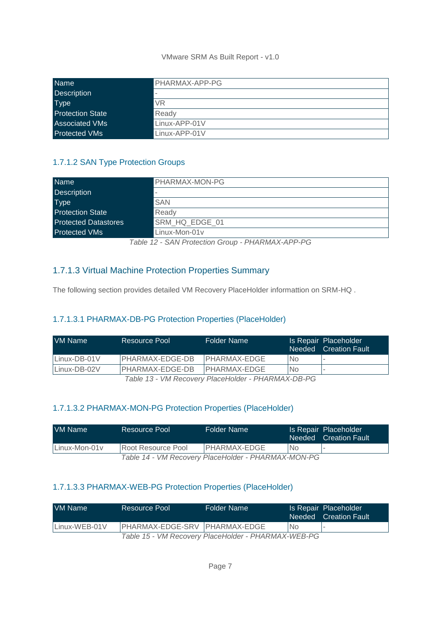| <b>Name</b>             | PHARMAX-APP-PG |
|-------------------------|----------------|
| Description             |                |
| <b>Type</b>             | VR             |
| <b>Protection State</b> | Ready          |
| <b>Associated VMs</b>   | Linux-APP-01V  |
| Protected VMs           | Linux-APP-01V  |

#### <span id="page-6-0"></span>1.7.1.2 SAN Type Protection Groups

| <b>Name</b>                 | PHARMAX-MON-PG           |
|-----------------------------|--------------------------|
| <b>Description</b>          | $\overline{\phantom{a}}$ |
| <b>Type</b>                 | <b>SAN</b>               |
| <b>Protection State</b>     | Ready                    |
| <b>Protected Datastores</b> | SRM HQ EDGE 01           |
| <b>Protected VMs</b>        | Linux-Mon-01y            |

*Table 12 - SAN Protection Group - PHARMAX-APP-PG*

#### <span id="page-6-1"></span>1.7.1.3 Virtual Machine Protection Properties Summary

The following section provides detailed VM Recovery PlaceHolder informattion on SRM-HQ .

#### <span id="page-6-2"></span>1.7.1.3.1 PHARMAX-DB-PG Protection Properties (PlaceHolder)

| <b>VM Name</b> | Resource Pool    | Folder Name                                    |     | Is Repair Placeholder<br>Needed Creation Fault |
|----------------|------------------|------------------------------------------------|-----|------------------------------------------------|
| Linux-DB-01V   | IPHARMAX-EDGE-DB | IPHARMAX-EDGE                                  | No. |                                                |
| Linux-DB-02V   | IPHARMAX-EDGE-DB | IPHARMAX-EDGE                                  | No. |                                                |
|                |                  | Table 12 WM Pessioni PlaceHolder DHADMAY DR DC |     |                                                |

*Table 13 - VM Recovery PlaceHolder - PHARMAX-DB-PG*

#### <span id="page-6-3"></span>1.7.1.3.2 PHARMAX-MON-PG Protection Properties (PlaceHolder)

| VM Name       | Resource Pool      | Folder Name                                         |    | Is Repair Placeholder<br>Needed Creation Fault |
|---------------|--------------------|-----------------------------------------------------|----|------------------------------------------------|
| Linux-Mon-01y | Root Resource Pool | IPHARMAX-EDGE                                       | No |                                                |
|               |                    | Table 14 - VM Recovery PlaceHolder - PHARMAX-MON-PG |    |                                                |

#### <span id="page-6-4"></span>1.7.1.3.3 PHARMAX-WEB-PG Protection Properties (PlaceHolder)

| VM Name       | Resource Pool                 | Folder Name                                         |           | Is Repair Placeholder<br>Needed Creation Fault |
|---------------|-------------------------------|-----------------------------------------------------|-----------|------------------------------------------------|
| Linux-WEB-01V | PHARMAX-EDGE-SRV PHARMAX-EDGE |                                                     | <b>No</b> |                                                |
|               |                               | Table 15 - VM Recovery PlaceHolder - PHARMAX-WEB-PG |           |                                                |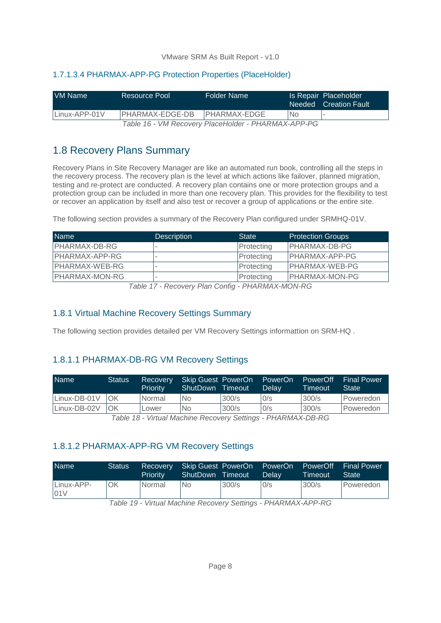#### <span id="page-7-0"></span>1.7.1.3.4 PHARMAX-APP-PG Protection Properties (PlaceHolder)

| IVM Name      | Resource Pool   | Folder Name                                                    |    | Is Repair Placeholder<br>Needed Creation Fault |
|---------------|-----------------|----------------------------------------------------------------|----|------------------------------------------------|
| Linux-APP-01V | PHARMAX-EDGE-DB | IPHARMAX-EDGE                                                  | No |                                                |
|               |                 | $TzLLz$ (ALD $\sim$ $\sim$ $\sim$ Distribution Distribution OO |    |                                                |

*Table 16 - VM Recovery PlaceHolder - PHARMAX-APP-PG*

# <span id="page-7-1"></span>1.8 Recovery Plans Summary

Recovery Plans in Site Recovery Manager are like an automated run book, controlling all the steps in the recovery process. The recovery plan is the level at which actions like failover, planned migration, testing and re-protect are conducted. A recovery plan contains one or more protection groups and a protection group can be included in more than one recovery plan. This provides for the flexibility to test or recover an application by itself and also test or recover a group of applications or the entire site.

The following section provides a summary of the Recovery Plan configured under SRMHQ-01V.

| <b>Name</b>           | <b>Description</b> | <b>State</b> | <b>Protection Groups</b> |
|-----------------------|--------------------|--------------|--------------------------|
| <b>PHARMAX-DB-RG</b>  |                    | Protecting   | <b>PHARMAX-DB-PG</b>     |
| PHARMAX-APP-RG        |                    | Protecting   | PHARMAX-APP-PG           |
| PHARMAX-WEB-RG        |                    | Protecting   | PHARMAX-WEB-PG           |
| <b>PHARMAX-MON-RG</b> |                    | Protecting   | <b>PHARMAX-MON-PG</b>    |

*Table 17 - Recovery Plan Config - PHARMAX-MON-RG*

#### <span id="page-7-2"></span>1.8.1 Virtual Machine Recovery Settings Summary

The following section provides detailed per VM Recovery Settings informattion on SRM-HQ .

#### <span id="page-7-3"></span>1.8.1.1 PHARMAX-DB-RG VM Recovery Settings

| <b>Name</b>  | <b>Status</b> | Recovery<br><b>Priority</b>                | Skip Guest PowerOn<br>ShutDown | Timeout | PowerOn<br>Delav       | PowerOff<br>Timeout | <b>Final Power</b><br><b>State</b> |
|--------------|---------------|--------------------------------------------|--------------------------------|---------|------------------------|---------------------|------------------------------------|
| Linux-DB-01V | OK            | Normal                                     | <b>No</b>                      | 300/s   | 0/s                    | 300/s               | Poweredon                          |
| Linux-DB-02V | OK            | Lower                                      | <b>No</b>                      | 300/s   | 0/s                    | 300/s               | Poweredon                          |
|              |               | Table 10 Virtual Machina Dagovary Cattings |                                |         | <u>OLIADIMAV DO DO</u> |                     |                                    |

*Table 18 - Virtual Machine Recovery Settings - PHARMAX-DB-RG*

#### <span id="page-7-4"></span>1.8.1.2 PHARMAX-APP-RG VM Recovery Settings

| <b>Name</b>       | <b>Status</b> | Recovery<br>Priority | Skip Guest PowerOn<br>ShutDown Timeout |               | PowerOn<br>Delav | PowerOff<br>Timeout | <b>Final Power</b><br><b>State</b> |
|-------------------|---------------|----------------------|----------------------------------------|---------------|------------------|---------------------|------------------------------------|
| Linux-APP-<br>01V | OK            | Normal               | <b>No</b>                              | 300/s         | 0/s              | 300/s               | Poweredon                          |
|                   |               |                      |                                        | $\sim$ $\sim$ |                  |                     |                                    |

*Table 19 - Virtual Machine Recovery Settings - PHARMAX-APP-RG*